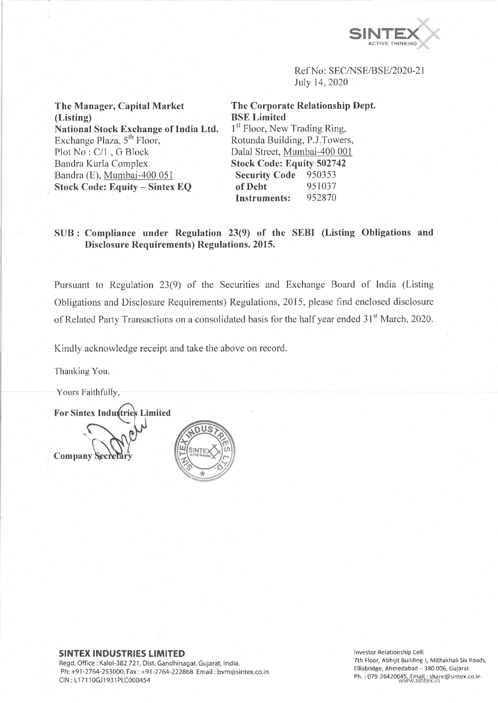

Ref No: SEC/NSE/BSE/2020-21 July 14, 2020

**The Manager, Capital Market (Listing) National Stock Exchange of India Ltd.** Exchange Plaza, 5<sup>th</sup> Floor, Plot No : C/l , G Block Bandra Kurla Complex Bandra (E), Mumbai-400 051 **Stock Code: Equity - Sintex EQ**

**The Corporate Relationship Dept. BSE Limited** 1<sup>st</sup> Floor, New Trading Ring, Rotunda Building, P.J.Towers, Dalai Street, Mumbai-400 001 **Stock Code: Equity 502742 Security Code** 950353 **of Debt** 951037 **Instruments:** 952870

**SUB : Compliance under Regulation 23(9) of the SEBI (Listing Obligations and Disclosure Requirements) Regulations. 2015.**

Pursuant to Regulation 23(9) of the Securities and Exchange Board of India (Listing Obligations and Disclosure Requirements) Regulations, 2015, please find enclosed disclosure of Related Party Transactions on a consolidated basis for the half year ended 31<sup>st</sup> March, 2020.

Kindly acknowledge receipt and take the above on record.

Thanking You.

Yours Faithfully,

**For Sintex Industries Limited** Company Seci

# **SINTEX INDUSTRIES LIMITED**

Regd. Office : Kalol-382 721, Dist. Gandhinagar, Gujarat, India. Ph: +91-2764-253000, Fax : +91-2764-222868 Email: [bvm@sintex.co.in](mailto:bvm@sintex.co.in) CIN :LI 7110GJ1931PLC000454

**Investor Relationship Cell: 7th Floor, Abhijit Building-1, Mithakhali Six Roads, Ellisbridge, Ahmedabad - 380 006, Gujarat. Ph. : 079-26420045, Email: [share@sintex.co.in](mailto:share@sintex.co.in)** wvti'w.sintex.in